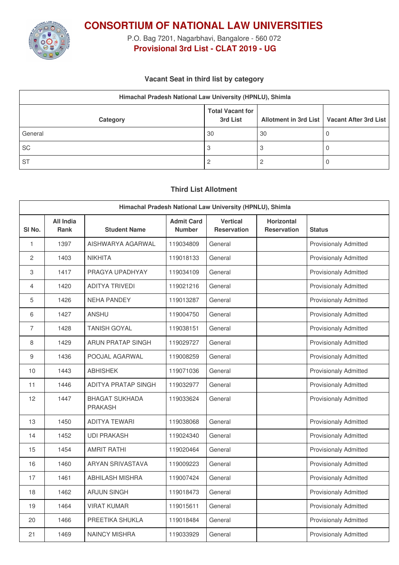

**CONSORTIUM OF NATIONAL LAW UNIVERSITIES**

P.O. Bag 7201, Nagarbhavi, Bangalore - 560 072 **Provisional 3rd List - CLAT 2019 - UG**

## **Vacant Seat in third list by category**

| Himachal Pradesh National Law University (HPNLU), Shimla |                                     |    |                                               |  |  |  |
|----------------------------------------------------------|-------------------------------------|----|-----------------------------------------------|--|--|--|
| Category                                                 | <b>Total Vacant for</b><br>3rd List |    | Allotment in 3rd List   Vacant After 3rd List |  |  |  |
| General                                                  | 30                                  | 30 |                                               |  |  |  |
| <b>SC</b>                                                | 3                                   |    |                                               |  |  |  |
| <b>ST</b>                                                |                                     |    |                                               |  |  |  |

## **Third List Allotment**

| Himachal Pradesh National Law University (HPNLU), Shimla |                          |                                         |                                    |                                       |                                         |                              |
|----------------------------------------------------------|--------------------------|-----------------------------------------|------------------------------------|---------------------------------------|-----------------------------------------|------------------------------|
| SI <sub>No.</sub>                                        | All India<br><b>Rank</b> | <b>Student Name</b>                     | <b>Admit Card</b><br><b>Number</b> | <b>Vertical</b><br><b>Reservation</b> | <b>Horizontal</b><br><b>Reservation</b> | <b>Status</b>                |
| 1                                                        | 1397                     | AISHWARYA AGARWAL                       | 119034809                          | General                               |                                         | <b>Provisionaly Admitted</b> |
| 2                                                        | 1403                     | <b>NIKHITA</b>                          | 119018133                          | General                               |                                         | <b>Provisionaly Admitted</b> |
| 3                                                        | 1417                     | PRAGYA UPADHYAY                         | 119034109                          | General                               |                                         | <b>Provisionaly Admitted</b> |
| $\overline{4}$                                           | 1420                     | <b>ADITYA TRIVEDI</b>                   | 119021216                          | General                               |                                         | <b>Provisionaly Admitted</b> |
| 5                                                        | 1426                     | <b>NEHA PANDEY</b>                      | 119013287                          | General                               |                                         | <b>Provisionaly Admitted</b> |
| 6                                                        | 1427                     | ANSHU                                   | 119004750                          | General                               |                                         | <b>Provisionaly Admitted</b> |
| $\overline{7}$                                           | 1428                     | <b>TANISH GOYAL</b>                     | 119038151                          | General                               |                                         | <b>Provisionaly Admitted</b> |
| 8                                                        | 1429                     | <b>ARUN PRATAP SINGH</b>                | 119029727                          | General                               |                                         | <b>Provisionaly Admitted</b> |
| 9                                                        | 1436                     | POOJAL AGARWAL                          | 119008259                          | General                               |                                         | <b>Provisionaly Admitted</b> |
| 10                                                       | 1443                     | <b>ABHISHEK</b>                         | 119071036                          | General                               |                                         | <b>Provisionaly Admitted</b> |
| 11                                                       | 1446                     | <b>ADITYA PRATAP SINGH</b>              | 119032977                          | General                               |                                         | <b>Provisionaly Admitted</b> |
| 12                                                       | 1447                     | <b>BHAGAT SUKHADA</b><br><b>PRAKASH</b> | 119033624                          | General                               |                                         | <b>Provisionaly Admitted</b> |
| 13                                                       | 1450                     | ADITYA TEWARI                           | 119038068                          | General                               |                                         | <b>Provisionaly Admitted</b> |
| 14                                                       | 1452                     | <b>UDI PRAKASH</b>                      | 119024340                          | General                               |                                         | <b>Provisionaly Admitted</b> |
| 15                                                       | 1454                     | <b>AMRIT RATHI</b>                      | 119020464                          | General                               |                                         | <b>Provisionaly Admitted</b> |
| 16                                                       | 1460                     | <b>ARYAN SRIVASTAVA</b>                 | 119009223                          | General                               |                                         | <b>Provisionaly Admitted</b> |
| 17                                                       | 1461                     | ABHILASH MISHRA                         | 119007424                          | General                               |                                         | <b>Provisionaly Admitted</b> |
| 18                                                       | 1462                     | <b>ARJUN SINGH</b>                      | 119018473                          | General                               |                                         | <b>Provisionaly Admitted</b> |
| 19                                                       | 1464                     | <b>VIRAT KUMAR</b>                      | 119015611                          | General                               |                                         | <b>Provisionaly Admitted</b> |
| 20                                                       | 1466                     | PREETIKA SHUKLA                         | 119018484                          | General                               |                                         | <b>Provisionaly Admitted</b> |
| 21                                                       | 1469                     | <b>NAINCY MISHRA</b>                    | 119033929                          | General                               |                                         | <b>Provisionaly Admitted</b> |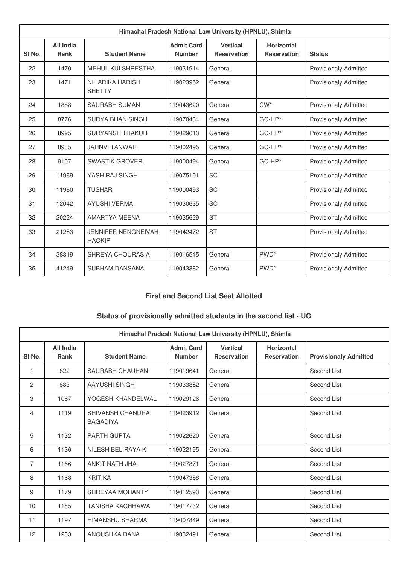| Himachal Pradesh National Law University (HPNLU), Shimla |                                 |                                             |                                    |                                       |                                         |                              |
|----------------------------------------------------------|---------------------------------|---------------------------------------------|------------------------------------|---------------------------------------|-----------------------------------------|------------------------------|
| SI <sub>No.</sub>                                        | <b>All India</b><br><b>Rank</b> | <b>Student Name</b>                         | <b>Admit Card</b><br><b>Number</b> | <b>Vertical</b><br><b>Reservation</b> | <b>Horizontal</b><br><b>Reservation</b> | <b>Status</b>                |
| 22                                                       | 1470                            | <b>MEHUL KULSHRESTHA</b>                    | 119031914                          | General                               |                                         | <b>Provisionaly Admitted</b> |
| 23                                                       | 1471                            | NIHARIKA HARISH<br><b>SHETTY</b>            | 119023952                          | General                               |                                         | <b>Provisionaly Admitted</b> |
| 24                                                       | 1888                            | <b>SAURABH SUMAN</b>                        | 119043620                          | General                               | $CW^*$                                  | <b>Provisionaly Admitted</b> |
| 25                                                       | 8776                            | SURYA BHAN SINGH                            | 119070484                          | General                               | $GC$ -HP $*$                            | <b>Provisionaly Admitted</b> |
| 26                                                       | 8925                            | <b>SURYANSH THAKUR</b>                      | 119029613                          | General                               | GC-HP*                                  | <b>Provisionaly Admitted</b> |
| 27                                                       | 8935                            | <b>JAHNVI TANWAR</b>                        | 119002495                          | General                               | $GC-HP*$                                | <b>Provisionaly Admitted</b> |
| 28                                                       | 9107                            | <b>SWASTIK GROVER</b>                       | 119000494                          | General                               | $GC-HP*$                                | <b>Provisionaly Admitted</b> |
| 29                                                       | 11969                           | YASH RAJ SINGH                              | 119075101                          | <b>SC</b>                             |                                         | <b>Provisionaly Admitted</b> |
| 30                                                       | 11980                           | <b>TUSHAR</b>                               | 119000493                          | <b>SC</b>                             |                                         | <b>Provisionaly Admitted</b> |
| 31                                                       | 12042                           | <b>AYUSHI VERMA</b>                         | 119030635                          | SC                                    |                                         | <b>Provisionaly Admitted</b> |
| 32                                                       | 20224                           | AMARTYA MEENA                               | 119035629                          | <b>ST</b>                             |                                         | <b>Provisionaly Admitted</b> |
| 33                                                       | 21253                           | <b>JENNIFER NENGNEIVAH</b><br><b>HAOKIP</b> | 119042472                          | <b>ST</b>                             |                                         | <b>Provisionaly Admitted</b> |
| 34                                                       | 38819                           | SHREYA CHOURASIA                            | 119016545                          | General                               | PWD <sup>*</sup>                        | <b>Provisionaly Admitted</b> |
| 35                                                       | 41249                           | <b>SUBHAM DANSANA</b>                       | 119043382                          | General                               | PWD <sup>*</sup>                        | <b>Provisionaly Admitted</b> |

## **First and Second List Seat Allotted**

# **Status of provisionally admitted students in the second list - UG**

| Himachal Pradesh National Law University (HPNLU), Shimla |                          |                                     |                                    |                                       |                                         |                              |
|----------------------------------------------------------|--------------------------|-------------------------------------|------------------------------------|---------------------------------------|-----------------------------------------|------------------------------|
| SI <sub>No.</sub>                                        | All India<br><b>Rank</b> | <b>Student Name</b>                 | <b>Admit Card</b><br><b>Number</b> | <b>Vertical</b><br><b>Reservation</b> | <b>Horizontal</b><br><b>Reservation</b> | <b>Provisionaly Admitted</b> |
| 1                                                        | 822                      | SAURABH CHAUHAN                     | 119019641                          | General                               |                                         | Second List                  |
| 2                                                        | 883                      | AAYUSHI SINGH                       | 119033852                          | General                               |                                         | Second List                  |
| 3                                                        | 1067                     | YOGESH KHANDELWAL                   | 119029126                          | General                               |                                         | Second List                  |
| 4                                                        | 1119                     | SHIVANSH CHANDRA<br><b>BAGADIYA</b> | 119023912                          | General                               |                                         | Second List                  |
| 5                                                        | 1132                     | <b>PARTH GUPTA</b>                  | 119022620                          | General                               |                                         | Second List                  |
| 6                                                        | 1136                     | NILESH BELIRAYA K                   | 119022195                          | General                               |                                         | Second List                  |
| 7                                                        | 1166                     | ANKIT NATH JHA                      | 119027871                          | General                               |                                         | Second List                  |
| 8                                                        | 1168                     | <b>KRITIKA</b>                      | 119047358                          | General                               |                                         | Second List                  |
| 9                                                        | 1179                     | SHREYAA MOHANTY                     | 119012593                          | General                               |                                         | Second List                  |
| 10                                                       | 1185                     | <b>TANISHA KACHHAWA</b>             | 119017732                          | General                               |                                         | Second List                  |
| 11                                                       | 1197                     | <b>HIMANSHU SHARMA</b>              | 119007849                          | General                               |                                         | Second List                  |
| 12                                                       | 1203                     | ANOUSHKA RANA                       | 119032491                          | General                               |                                         | Second List                  |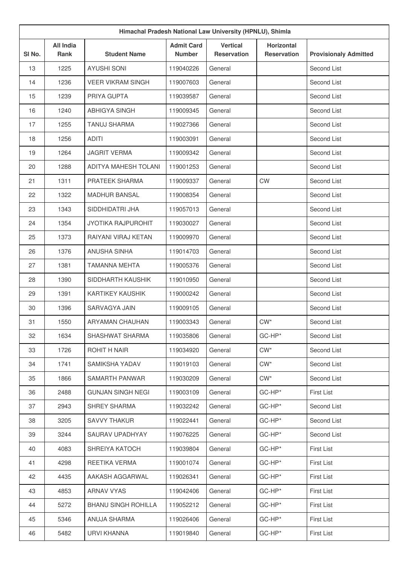| Himachal Pradesh National Law University (HPNLU), Shimla |                          |                            |                                    |                                       |                                         |                              |
|----------------------------------------------------------|--------------------------|----------------------------|------------------------------------|---------------------------------------|-----------------------------------------|------------------------------|
| SI No.                                                   | <b>All India</b><br>Rank | <b>Student Name</b>        | <b>Admit Card</b><br><b>Number</b> | <b>Vertical</b><br><b>Reservation</b> | <b>Horizontal</b><br><b>Reservation</b> | <b>Provisionaly Admitted</b> |
| 13                                                       | 1225                     | <b>AYUSHI SONI</b>         | 119040226                          | General                               |                                         | Second List                  |
| 14                                                       | 1236                     | <b>VEER VIKRAM SINGH</b>   | 119007603                          | General                               |                                         | Second List                  |
| 15                                                       | 1239                     | PRIYA GUPTA                | 119039587                          | General                               |                                         | Second List                  |
| 16                                                       | 1240                     | <b>ABHIGYA SINGH</b>       | 119009345                          | General                               |                                         | Second List                  |
| 17                                                       | 1255                     | <b>TANUJ SHARMA</b>        | 119027366                          | General                               |                                         | Second List                  |
| 18                                                       | 1256                     | <b>ADITI</b>               | 119003091                          | General                               |                                         | Second List                  |
| 19                                                       | 1264                     | <b>JAGRIT VERMA</b>        | 119009342                          | General                               |                                         | Second List                  |
| 20                                                       | 1288                     | ADITYA MAHESH TOLANI       | 119001253                          | General                               |                                         | Second List                  |
| 21                                                       | 1311                     | PRATEEK SHARMA             | 119009337                          | General                               | <b>CW</b>                               | Second List                  |
| 22                                                       | 1322                     | <b>MADHUR BANSAL</b>       | 119008354                          | General                               |                                         | Second List                  |
| 23                                                       | 1343                     | SIDDHIDATRI JHA            | 119057013                          | General                               |                                         | Second List                  |
| 24                                                       | 1354                     | <b>JYOTIKA RAJPUROHIT</b>  | 119030027                          | General                               |                                         | Second List                  |
| 25                                                       | 1373                     | RAIYANI VIRAJ KETAN        | 119009970                          | General                               |                                         | Second List                  |
| 26                                                       | 1376                     | <b>ANUSHA SINHA</b>        | 119014703                          | General                               |                                         | Second List                  |
| 27                                                       | 1381                     | <b>TAMANNA MEHTA</b>       | 119005376                          | General                               |                                         | Second List                  |
| 28                                                       | 1390                     | SIDDHARTH KAUSHIK          | 119010950                          | General                               |                                         | Second List                  |
| 29                                                       | 1391                     | <b>KARTIKEY KAUSHIK</b>    | 119000242                          | General                               |                                         | Second List                  |
| 30                                                       | 1396                     | SARVAGYA JAIN              | 119009105                          | General                               |                                         | Second List                  |
| 31                                                       | 1550                     | ARYAMAN CHAUHAN            | 119003343                          | General                               | $CW^*$                                  | Second List                  |
| 32                                                       | 1634                     | SHASHWAT SHARMA            | 119035806                          | General                               | GC-HP*                                  | Second List                  |
| 33                                                       | 1726                     | ROHIT H NAIR               | 119034920                          | General                               | $CW^*$                                  | Second List                  |
| 34                                                       | 1741                     | SAMIKSHA YADAV             | 119019103                          | General                               | $CW^*$                                  | Second List                  |
| 35                                                       | 1866                     | SAMARTH PANWAR             | 119030209                          | General                               | $CW^*$                                  | Second List                  |
| 36                                                       | 2488                     | <b>GUNJAN SINGH NEGI</b>   | 119003109                          | General                               | GC-HP*                                  | <b>First List</b>            |
| 37                                                       | 2943                     | SHREY SHARMA               | 119032242                          | General                               | GC-HP*                                  | Second List                  |
| 38                                                       | 3205                     | <b>SAVVY THAKUR</b>        | 119022441                          | General                               | GC-HP*                                  | Second List                  |
| 39                                                       | 3244                     | SAURAV UPADHYAY            | 119076225                          | General                               | GC-HP*                                  | Second List                  |
| 40                                                       | 4083                     | SHREIYA KATOCH             | 119039804                          | General                               | GC-HP*                                  | First List                   |
| 41                                                       | 4298                     | REETIKA VERMA              | 119001074                          | General                               | GC-HP*                                  | <b>First List</b>            |
| 42                                                       | 4435                     | AAKASH AGGARWAL            | 119026341                          | General                               | GC-HP*                                  | <b>First List</b>            |
| 43                                                       | 4853                     | <b>ARNAV VYAS</b>          | 119042406                          | General                               | GC-HP*                                  | <b>First List</b>            |
| 44                                                       | 5272                     | <b>BHANU SINGH ROHILLA</b> | 119052212                          | General                               | GC-HP*                                  | <b>First List</b>            |
| 45                                                       | 5346                     | ANUJA SHARMA               | 119026406                          | General                               | GC-HP*                                  | <b>First List</b>            |
| 46                                                       | 5482                     | URVI KHANNA                | 119019840                          | General                               | GC-HP*                                  | <b>First List</b>            |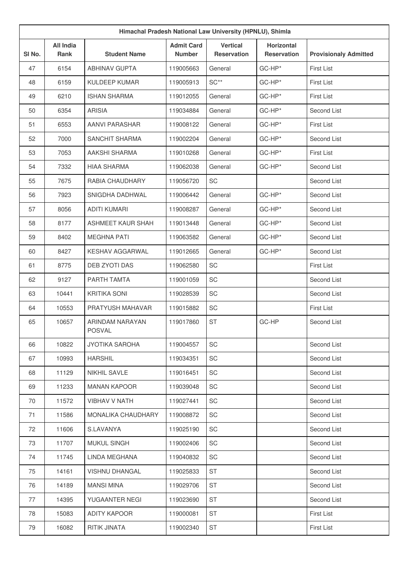| Himachal Pradesh National Law University (HPNLU), Shimla |                                 |                                  |                                    |                                       |                                         |                              |
|----------------------------------------------------------|---------------------------------|----------------------------------|------------------------------------|---------------------------------------|-----------------------------------------|------------------------------|
| SI No.                                                   | <b>All India</b><br><b>Rank</b> | <b>Student Name</b>              | <b>Admit Card</b><br><b>Number</b> | <b>Vertical</b><br><b>Reservation</b> | <b>Horizontal</b><br><b>Reservation</b> | <b>Provisionaly Admitted</b> |
| 47                                                       | 6154                            | <b>ABHINAV GUPTA</b>             | 119005663                          | General                               | GC-HP*                                  | <b>First List</b>            |
| 48                                                       | 6159                            | <b>KULDEEP KUMAR</b>             | 119005913                          | $SC**$                                | GC-HP*                                  | <b>First List</b>            |
| 49                                                       | 6210                            | <b>ISHAN SHARMA</b>              | 119012055                          | General                               | GC-HP*                                  | <b>First List</b>            |
| 50                                                       | 6354                            | <b>ARISIA</b>                    | 119034884                          | General                               | GC-HP*                                  | Second List                  |
| 51                                                       | 6553                            | <b>AANVI PARASHAR</b>            | 119008122                          | General                               | GC-HP*                                  | <b>First List</b>            |
| 52                                                       | 7000                            | <b>SANCHIT SHARMA</b>            | 119002204                          | General                               | GC-HP*                                  | Second List                  |
| 53                                                       | 7053                            | AAKSHI SHARMA                    | 119010268                          | General                               | GC-HP*                                  | <b>First List</b>            |
| 54                                                       | 7332                            | <b>HIAA SHARMA</b>               | 119062038                          | General                               | GC-HP*                                  | Second List                  |
| 55                                                       | 7675                            | RABIA CHAUDHARY                  | 119056720                          | <b>SC</b>                             |                                         | Second List                  |
| 56                                                       | 7923                            | SNIGDHA DADHWAL                  | 119006442                          | General                               | GC-HP*                                  | Second List                  |
| 57                                                       | 8056                            | <b>ADITI KUMARI</b>              | 119008287                          | General                               | GC-HP*                                  | Second List                  |
| 58                                                       | 8177                            | <b>ASHMEET KAUR SHAH</b>         | 119013448                          | General                               | GC-HP*                                  | Second List                  |
| 59                                                       | 8402                            | <b>MEGHNA PATI</b>               | 119063582                          | General                               | GC-HP*                                  | Second List                  |
| 60                                                       | 8427                            | KESHAV AGGARWAL                  | 119012665                          | General                               | GC-HP*                                  | Second List                  |
| 61                                                       | 8775                            | DEB ZYOTI DAS                    | 119062580                          | SC                                    |                                         | <b>First List</b>            |
| 62                                                       | 9127                            | PARTH TAMTA                      | 119001059                          | SC                                    |                                         | Second List                  |
| 63                                                       | 10441                           | <b>KRITIKA SONI</b>              | 119028539                          | SC                                    |                                         | Second List                  |
| 64                                                       | 10553                           | PRATYUSH MAHAVAR                 | 119015882                          | SC                                    |                                         | <b>First List</b>            |
| 65                                                       | 10657                           | ARINDAM NARAYAN<br><b>POSVAL</b> | 119017860                          | ST                                    | GC-HP                                   | Second List                  |
| 66                                                       | 10822                           | <b>JYOTIKA SAROHA</b>            | 119004557                          | SC                                    |                                         | Second List                  |
| 67                                                       | 10993                           | <b>HARSHIL</b>                   | 119034351                          | SC                                    |                                         | Second List                  |
| 68                                                       | 11129                           | <b>NIKHIL SAVLE</b>              | 119016451                          | SC                                    |                                         | Second List                  |
| 69                                                       | 11233                           | <b>MANAN KAPOOR</b>              | 119039048                          | SC                                    |                                         | Second List                  |
| 70                                                       | 11572                           | <b>VIBHAV V NATH</b>             | 119027441                          | SC                                    |                                         | Second List                  |
| 71                                                       | 11586                           | <b>MONALIKA CHAUDHARY</b>        | 119008872                          | SC                                    |                                         | Second List                  |
| 72                                                       | 11606                           | S.LAVANYA                        | 119025190                          | SC                                    |                                         | Second List                  |
| 73                                                       | 11707                           | <b>MUKUL SINGH</b>               | 119002406                          | SC                                    |                                         | Second List                  |
| 74                                                       | 11745                           | LINDA MEGHANA                    | 119040832                          | SC                                    |                                         | Second List                  |
| 75                                                       | 14161                           | VISHNU DHANGAL                   | 119025833                          | <b>ST</b>                             |                                         | Second List                  |
| 76                                                       | 14189                           | <b>MANSI MINA</b>                | 119029706                          | <b>ST</b>                             |                                         | Second List                  |
| 77                                                       | 14395                           | YUGAANTER NEGI                   | 119023690                          | <b>ST</b>                             |                                         | Second List                  |
| 78                                                       | 15083                           | <b>ADITY KAPOOR</b>              | 119000081                          | <b>ST</b>                             |                                         | <b>First List</b>            |
| 79                                                       | 16082                           | <b>RITIK JINATA</b>              | 119002340                          | <b>ST</b>                             |                                         | First List                   |